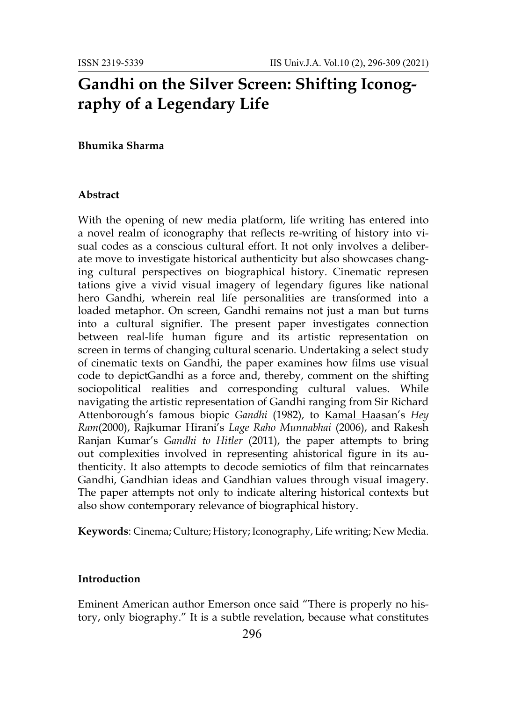# **Gandhi on the Silver Screen: Shifting Iconography of a Legendary Life**

#### **Bhumika Sharma**

#### **Abstract**

With the opening of new media platform, life writing has entered into a novel realm of iconography that reflects re-writing of history into visual codes as a conscious cultural effort. It not only involves a deliberate move to investigate historical authenticity but also showcases changing cultural perspectives on biographical history. Cinematic represen tations give a vivid visual imagery of legendary figures like national hero Gandhi, wherein real life personalities are transformed into a loaded metaphor. On screen, Gandhi remains not just a man but turns into a cultural signifier. The present paper investigates connection between real-life human figure and its artistic representation on screen in terms of changing cultural scenario. Undertaking a select study of cinematic texts on Gandhi, the paper examines how films use visual code to depictGandhi as a force and, thereby, comment on the shifting sociopolitical realities and corresponding cultural values. While navigating the artistic representation of Gandhi ranging from Sir Richard Attenborough's famous biopic *Gandhi* (1982), to [Kamal Haasan](https://en.wikipedia.org/wiki/Kamal_Haasan)'s *Hey Ram*(2000), Rajkumar Hirani's *Lage Raho Munnabhai* (2006), and Rakesh Ranjan Kumar's *Gandhi to Hitler* (2011), the paper attempts to bring out complexities involved in representing ahistorical figure in its authenticity. It also attempts to decode semiotics of film that reincarnates Gandhi, Gandhian ideas and Gandhian values through visual imagery. The paper attempts not only to indicate altering historical contexts but also show contemporary relevance of biographical history.

**Keywords**: Cinema; Culture; History; Iconography, Life writing; New Media.

#### **Introduction**

Eminent American author Emerson once said "There is properly no history, only biography." It is a subtle revelation, because what constitutes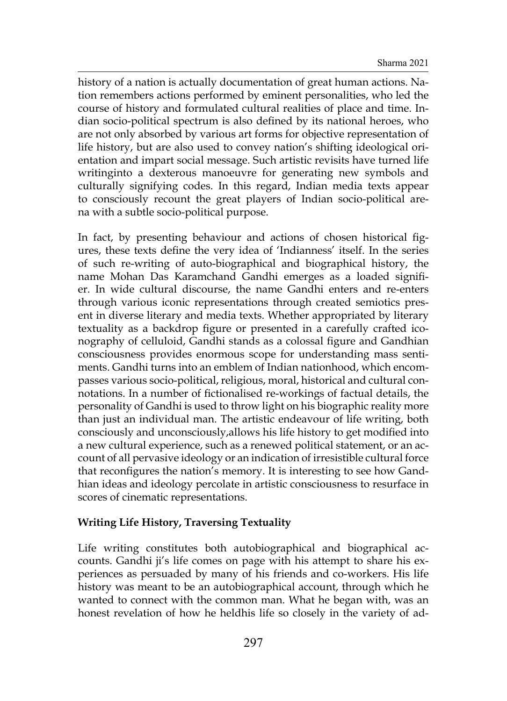history of a nation is actually documentation of great human actions. Nation remembers actions performed by eminent personalities, who led the course of history and formulated cultural realities of place and time. Indian socio-political spectrum is also defined by its national heroes, who are not only absorbed by various art forms for objective representation of life history, but are also used to convey nation's shifting ideological orientation and impart social message. Such artistic revisits have turned life writinginto a dexterous manoeuvre for generating new symbols and culturally signifying codes. In this regard, Indian media texts appear to consciously recount the great players of Indian socio-political arena with a subtle socio-political purpose.

In fact, by presenting behaviour and actions of chosen historical figures, these texts define the very idea of 'Indianness' itself. In the series of such re-writing of auto-biographical and biographical history, the name Mohan Das Karamchand Gandhi emerges as a loaded signifier. In wide cultural discourse, the name Gandhi enters and re-enters through various iconic representations through created semiotics present in diverse literary and media texts. Whether appropriated by literary textuality as a backdrop figure or presented in a carefully crafted iconography of celluloid, Gandhi stands as a colossal figure and Gandhian consciousness provides enormous scope for understanding mass sentiments. Gandhi turns into an emblem of Indian nationhood, which encompasses various socio-political, religious, moral, historical and cultural connotations. In a number of fictionalised re-workings of factual details, the personality of Gandhi is used to throw light on his biographic reality more than just an individual man. The artistic endeavour of life writing, both consciously and unconsciously,allows his life history to get modified into a new cultural experience, such as a renewed political statement, or an account of all pervasive ideology or an indication of irresistible cultural force that reconfigures the nation's memory. It is interesting to see how Gandhian ideas and ideology percolate in artistic consciousness to resurface in scores of cinematic representations.

# **Writing Life History, Traversing Textuality**

Life writing constitutes both autobiographical and biographical accounts. Gandhi ji's life comes on page with his attempt to share his experiences as persuaded by many of his friends and co-workers. His life history was meant to be an autobiographical account, through which he wanted to connect with the common man. What he began with, was an honest revelation of how he heldhis life so closely in the variety of ad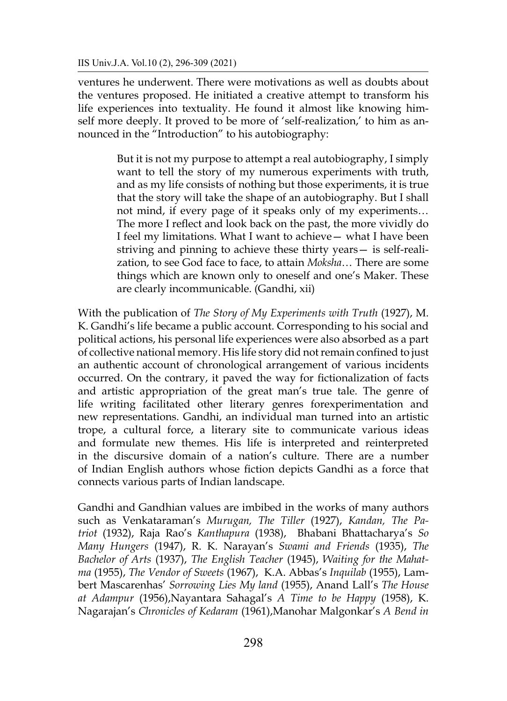ventures he underwent. There were motivations as well as doubts about the ventures proposed. He initiated a creative attempt to transform his life experiences into textuality. He found it almost like knowing himself more deeply. It proved to be more of 'self-realization,' to him as announced in the "Introduction" to his autobiography:

> But it is not my purpose to attempt a real autobiography, I simply want to tell the story of my numerous experiments with truth, and as my life consists of nothing but those experiments, it is true that the story will take the shape of an autobiography. But I shall not mind, if every page of it speaks only of my experiments… The more I reflect and look back on the past, the more vividly do I feel my limitations. What I want to achieve— what I have been striving and pinning to achieve these thirty years— is self-realization, to see God face to face, to attain *Moksha*… There are some things which are known only to oneself and one's Maker. These are clearly incommunicable. (Gandhi, xii)

With the publication of *The Story of My Experiments with Truth* (1927), M. K. Gandhi's life became a public account. Corresponding to his social and political actions, his personal life experiences were also absorbed as a part of collective national memory. His life story did not remain confined to just an authentic account of chronological arrangement of various incidents occurred. On the contrary, it paved the way for fictionalization of facts and artistic appropriation of the great man's true tale. The genre of life writing facilitated other literary genres forexperimentation and new representations. Gandhi, an individual man turned into an artistic trope, a cultural force, a literary site to communicate various ideas and formulate new themes. His life is interpreted and reinterpreted in the discursive domain of a nation's culture. There are a number of Indian English authors whose fiction depicts Gandhi as a force that connects various parts of Indian landscape.

Gandhi and Gandhian values are imbibed in the works of many authors such as Venkataraman's *Murugan, The Tiller* (1927), *Kandan, The Patriot* (1932), Raja Rao's *Kanthapura* (1938), Bhabani Bhattacharya's *So Many Hungers* (1947), R. K. Narayan's *Swami and Friends* (1935), *The Bachelor of Arts* (1937), *The English Teacher* (1945), *Waiting for the Mahatma* (1955), *The Vendor of Sweets* (1967), K.A. Abbas's *Inquilab* (1955), Lambert Mascarenhas' *Sorrowing Lies My land* (1955), Anand Lall's *The House at Adampur* (1956),Nayantara Sahagal's *A Time to be Happy* (1958), K. Nagarajan's *Chronicles of Kedaram* (1961),Manohar Malgonkar's *A Bend in*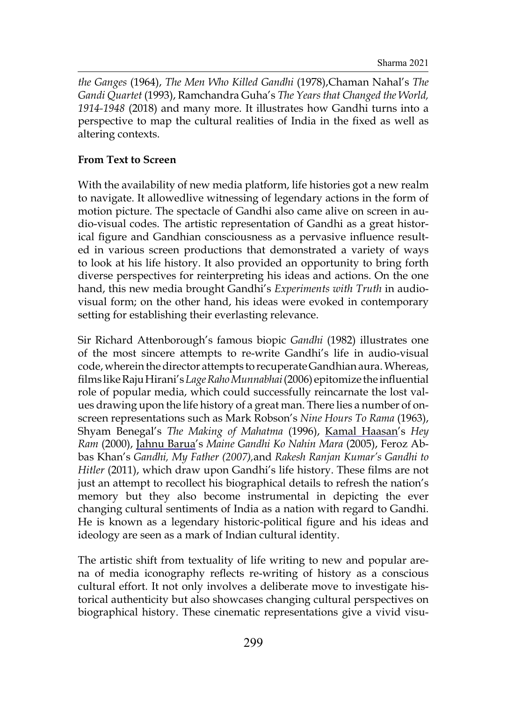*the Ganges* (1964), *The Men Who Killed Gandhi* (1978),Chaman Nahal's *The Gandi Quartet* (1993), Ramchandra Guha's *The Years that Changed the World, 1914-1948* (2018) and many more. It illustrates how Gandhi turns into a perspective to map the cultural realities of India in the fixed as well as altering contexts.

## **From Text to Screen**

With the availability of new media platform, life histories got a new realm to navigate. It allowedlive witnessing of legendary actions in the form of motion picture. The spectacle of Gandhi also came alive on screen in audio-visual codes. The artistic representation of Gandhi as a great historical figure and Gandhian consciousness as a pervasive influence resulted in various screen productions that demonstrated a variety of ways to look at his life history. It also provided an opportunity to bring forth diverse perspectives for reinterpreting his ideas and actions. On the one hand, this new media brought Gandhi's *Experiments with Truth* in audiovisual form; on the other hand, his ideas were evoked in contemporary setting for establishing their everlasting relevance.

Sir Richard Attenborough's famous biopic *Gandhi* (1982) illustrates one of the most sincere attempts to re-write Gandhi's life in audio-visual code, wherein the director attempts to recuperate Gandhian aura. Whereas, films likeRaju Hirani's*Lage Raho Munnabhai*(2006) epitomize the influential role of popular media, which could successfully reincarnate the lost values drawing upon the life history of a great man. There lies a number of onscreen representations such as Mark Robson's *Nine Hours To Rama* (1963), Shyam Benegal's *The Making of Mahatma* (1996), [Kamal Haasan](https://en.wikipedia.org/wiki/Kamal_Haasan)'s *Hey Ram* (2000), [Jahnu Barua'](https://en.wikipedia.org/wiki/Jahnu_Barua)s *Maine Gandhi Ko Nahin Mara* (2005), Feroz Abbas Khan's *Gandhi, My Father (2007),*and *Rakesh Ranjan Kumar's Gandhi to Hitler* (2011), which draw upon Gandhi's life history. These films are not just an attempt to recollect his biographical details to refresh the nation's memory but they also become instrumental in depicting the ever changing cultural sentiments of India as a nation with regard to Gandhi. He is known as a legendary historic-political figure and his ideas and ideology are seen as a mark of Indian cultural identity.

The artistic shift from textuality of life writing to new and popular arena of media iconography reflects re-writing of history as a conscious cultural effort. It not only involves a deliberate move to investigate historical authenticity but also showcases changing cultural perspectives on biographical history. These cinematic representations give a vivid visu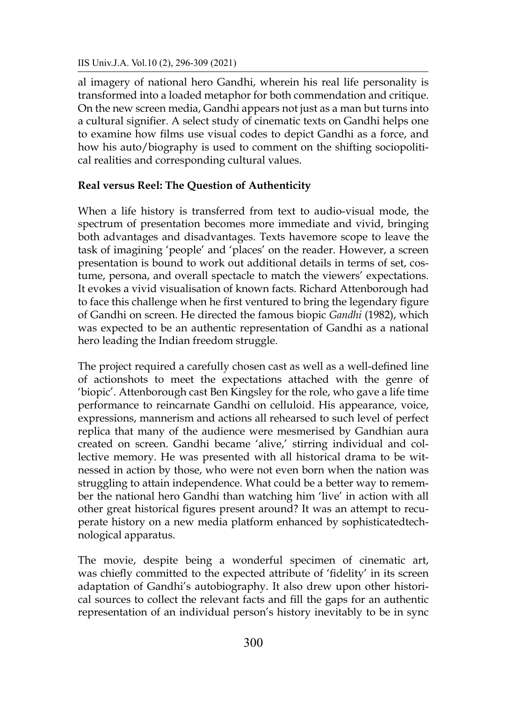al imagery of national hero Gandhi, wherein his real life personality is transformed into a loaded metaphor for both commendation and critique. On the new screen media, Gandhi appears not just as a man but turns into a cultural signifier. A select study of cinematic texts on Gandhi helps one to examine how films use visual codes to depict Gandhi as a force, and how his auto/biography is used to comment on the shifting sociopolitical realities and corresponding cultural values.

# **Real versus Reel: The Question of Authenticity**

When a life history is transferred from text to audio-visual mode, the spectrum of presentation becomes more immediate and vivid, bringing both advantages and disadvantages. Texts havemore scope to leave the task of imagining 'people' and 'places' on the reader. However, a screen presentation is bound to work out additional details in terms of set, costume, persona, and overall spectacle to match the viewers' expectations. It evokes a vivid visualisation of known facts. Richard Attenborough had to face this challenge when he first ventured to bring the legendary figure of Gandhi on screen. He directed the famous biopic *Gandhi* (1982), which was expected to be an authentic representation of Gandhi as a national hero leading the Indian freedom struggle.

The project required a carefully chosen cast as well as a well-defined line of actionshots to meet the expectations attached with the genre of 'biopic'. Attenborough cast Ben Kingsley for the role, who gave a life time performance to reincarnate Gandhi on celluloid. His appearance, voice, expressions, mannerism and actions all rehearsed to such level of perfect replica that many of the audience were mesmerised by Gandhian aura created on screen. Gandhi became 'alive,' stirring individual and collective memory. He was presented with all historical drama to be witnessed in action by those, who were not even born when the nation was struggling to attain independence. What could be a better way to remember the national hero Gandhi than watching him 'live' in action with all other great historical figures present around? It was an attempt to recuperate history on a new media platform enhanced by sophisticatedtechnological apparatus.

The movie, despite being a wonderful specimen of cinematic art, was chiefly committed to the expected attribute of 'fidelity' in its screen adaptation of Gandhi's autobiography. It also drew upon other historical sources to collect the relevant facts and fill the gaps for an authentic representation of an individual person's history inevitably to be in sync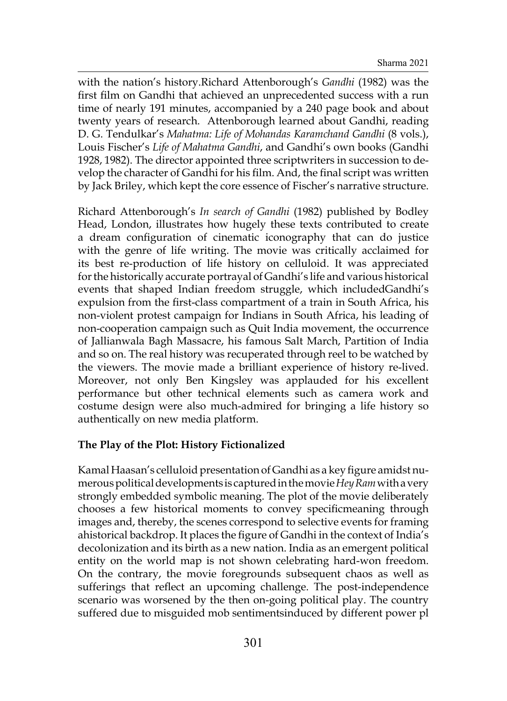with the nation's history.Richard Attenborough's *Gandhi* (1982) was the first film on Gandhi that achieved an unprecedented success with a run time of nearly 191 minutes, accompanied by a 240 page book and about twenty years of research. Attenborough learned about Gandhi, reading D. G. Tendulkar's *Mahatma: Life of Mohandas Karamchand Gandhi* (8 vols.), Louis Fischer's *Life of Mahatma Gandhi*, and Gandhi's own books (Gandhi 1928, 1982). The director appointed three scriptwriters in succession to develop the character of Gandhi for his film. And, the final script was written by Jack Briley, which kept the core essence of Fischer's narrative structure.

Richard Attenborough's *In search of Gandhi* (1982) published by Bodley Head, London, illustrates how hugely these texts contributed to create a dream configuration of cinematic iconography that can do justice with the genre of life writing. The movie was critically acclaimed for its best re-production of life history on celluloid. It was appreciated forthe historically accurate portrayal of Gandhi's life and various historical events that shaped Indian freedom struggle, which includedGandhi's expulsion from the first-class compartment of a train in South Africa, his non-violent protest campaign for Indians in South Africa, his leading of non-cooperation campaign such as Quit India movement, the occurrence of Jallianwala Bagh Massacre, his famous Salt March, Partition of India and so on. The real history was recuperated through reel to be watched by the viewers. The movie made a brilliant experience of history re-lived. Moreover, not only Ben Kingsley was applauded for his excellent performance but other technical elements such as camera work and costume design were also much-admired for bringing a life history so authentically on new media platform.

# **The Play of the Plot: History Fictionalized**

Kamal Haasan's celluloid presentation of Gandhi as a key figure amidst numerous political developments is capturedin the movie*Hey Ram*with a very strongly embedded symbolic meaning. The plot of the movie deliberately chooses a few historical moments to convey specificmeaning through images and, thereby, the scenes correspond to selective events for framing ahistorical backdrop. It places the figure of Gandhi in the context of India's decolonization and its birth as a new nation. India as an emergent political entity on the world map is not shown celebrating hard-won freedom. On the contrary, the movie foregrounds subsequent chaos as well as sufferings that reflect an upcoming challenge. The post-independence scenario was worsened by the then on-going political play. The country suffered due to misguided mob sentimentsinduced by different power pl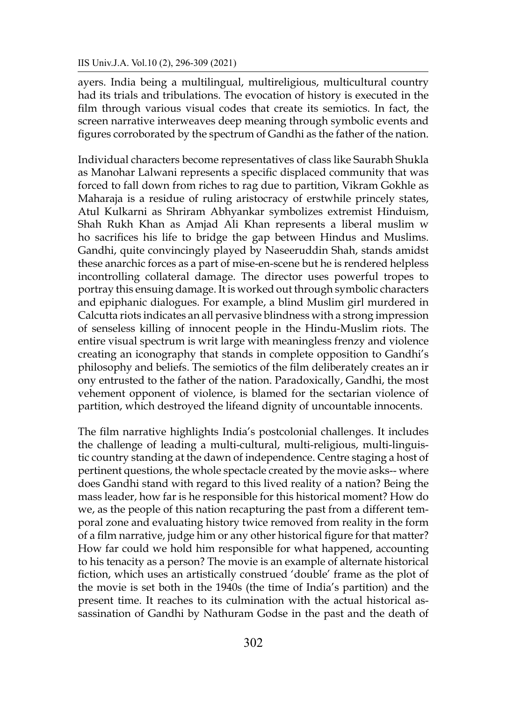ayers. India being a multilingual, multireligious, multicultural country had its trials and tribulations. The evocation of history is executed in the film through various visual codes that create its semiotics. In fact, the screen narrative interweaves deep meaning through symbolic events and figures corroborated by the spectrum of Gandhi as the father of the nation.

Individual characters become representatives of class like Saurabh Shukla as Manohar Lalwani represents a specific displaced community that was forced to fall down from riches to rag due to partition, Vikram Gokhle as Maharaja is a residue of ruling aristocracy of erstwhile princely states, Atul Kulkarni as Shriram Abhyankar symbolizes extremist Hinduism, Shah Rukh Khan as Amjad Ali Khan represents a liberal muslim w ho sacrifices his life to bridge the gap between Hindus and Muslims. Gandhi, quite convincingly played by Naseeruddin Shah, stands amidst these anarchic forces as a part of mise-en-scene but he is rendered helpless incontrolling collateral damage. The director uses powerful tropes to portray this ensuing damage. It is worked out through symbolic characters and epiphanic dialogues. For example, a blind Muslim girl murdered in Calcutta riots indicates an all pervasive blindness with a strong impression of senseless killing of innocent people in the Hindu-Muslim riots. The entire visual spectrum is writ large with meaningless frenzy and violence creating an iconography that stands in complete opposition to Gandhi's philosophy and beliefs. The semiotics of the film deliberately creates an ir ony entrusted to the father of the nation. Paradoxically, Gandhi, the most vehement opponent of violence, is blamed for the sectarian violence of partition, which destroyed the lifeand dignity of uncountable innocents.

The film narrative highlights India's postcolonial challenges. It includes the challenge of leading a multi-cultural, multi-religious, multi-linguistic country standing at the dawn of independence. Centre staging a host of pertinent questions, the whole spectacle created by the movie asks-- where does Gandhi stand with regard to this lived reality of a nation? Being the mass leader, how far is he responsible for this historical moment? How do we, as the people of this nation recapturing the past from a different temporal zone and evaluating history twice removed from reality in the form of a film narrative, judge him or any other historical figure for that matter? How far could we hold him responsible for what happened, accounting to his tenacity as a person? The movie is an example of alternate historical fiction, which uses an artistically construed 'double' frame as the plot of the movie is set both in the 1940s (the time of India's partition) and the present time. It reaches to its culmination with the actual historical assassination of Gandhi by Nathuram Godse in the past and the death of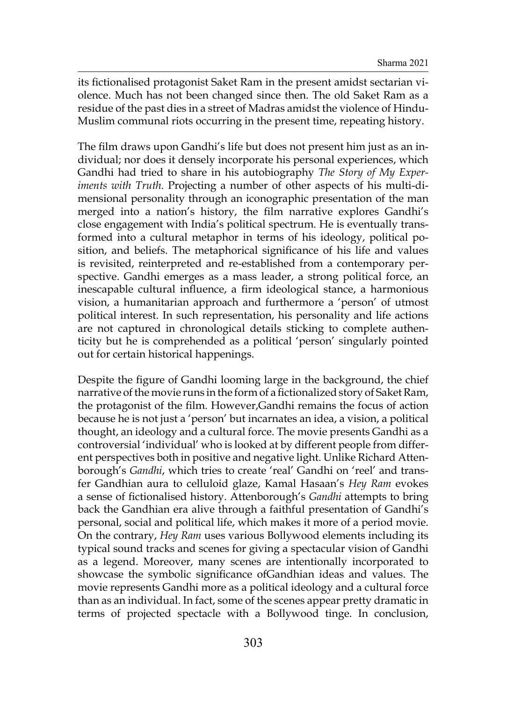its fictionalised protagonist Saket Ram in the present amidst sectarian violence. Much has not been changed since then. The old Saket Ram as a residue of the past dies in a street of Madras amidst the violence of Hindu-Muslim communal riots occurring in the present time, repeating history.

The film draws upon Gandhi's life but does not present him just as an individual; nor does it densely incorporate his personal experiences, which Gandhi had tried to share in his autobiography *The Story of My Experiments with Truth*. Projecting a number of other aspects of his multi-dimensional personality through an iconographic presentation of the man merged into a nation's history, the film narrative explores Gandhi's close engagement with India's political spectrum. He is eventually transformed into a cultural metaphor in terms of his ideology, political position, and beliefs. The metaphorical significance of his life and values is revisited, reinterpreted and re-established from a contemporary perspective. Gandhi emerges as a mass leader, a strong political force, an inescapable cultural influence, a firm ideological stance, a harmonious vision, a humanitarian approach and furthermore a 'person' of utmost political interest. In such representation, his personality and life actions are not captured in chronological details sticking to complete authenticity but he is comprehended as a political 'person' singularly pointed out for certain historical happenings.

Despite the figure of Gandhi looming large in the background, the chief narrative of the movie runs in the form of a fictionalized story of Saket Ram, the protagonist of the film. However,Gandhi remains the focus of action because he is not just a 'person' but incarnates an idea, a vision, a political thought, an ideology and a cultural force. The movie presents Gandhi as a controversial 'individual' who is looked at by different people from different perspectives both in positive and negative light. Unlike Richard Attenborough's *Gandhi*, which tries to create 'real' Gandhi on 'reel' and transfer Gandhian aura to celluloid glaze, Kamal Hasaan's *Hey Ram* evokes a sense of fictionalised history. Attenborough's *Gandhi* attempts to bring back the Gandhian era alive through a faithful presentation of Gandhi's personal, social and political life, which makes it more of a period movie. On the contrary, *Hey Ram* uses various Bollywood elements including its typical sound tracks and scenes for giving a spectacular vision of Gandhi as a legend. Moreover, many scenes are intentionally incorporated to showcase the symbolic significance ofGandhian ideas and values. The movie represents Gandhi more as a political ideology and a cultural force than as an individual. In fact, some of the scenes appear pretty dramatic in terms of projected spectacle with a Bollywood tinge. In conclusion,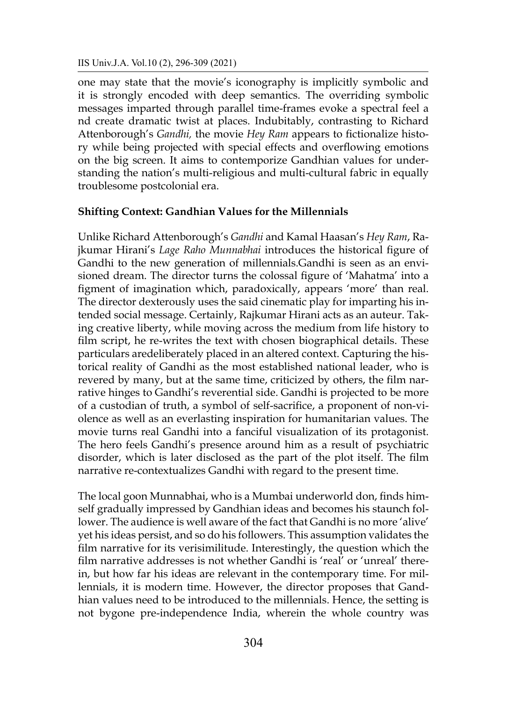IIS Univ.J.A. Vol.10 (2), 296-309 (2021)

one may state that the movie's iconography is implicitly symbolic and it is strongly encoded with deep semantics. The overriding symbolic messages imparted through parallel time-frames evoke a spectral feel a nd create dramatic twist at places. Indubitably, contrasting to Richard Attenborough's *Gandhi,* the movie *Hey Ram* appears to fictionalize history while being projected with special effects and overflowing emotions on the big screen. It aims to contemporize Gandhian values for understanding the nation's multi-religious and multi-cultural fabric in equally troublesome postcolonial era.

# **Shifting Context: Gandhian Values for the Millennials**

Unlike Richard Attenborough's *Gandhi* and Kamal Haasan's *Hey Ram*, Rajkumar Hirani's *Lage Raho Munnabhai* introduces the historical figure of Gandhi to the new generation of millennials.Gandhi is seen as an envisioned dream. The director turns the colossal figure of 'Mahatma' into a figment of imagination which, paradoxically, appears 'more' than real. The director dexterously uses the said cinematic play for imparting his intended social message. Certainly, Rajkumar Hirani acts as an auteur. Taking creative liberty, while moving across the medium from life history to film script, he re-writes the text with chosen biographical details. These particulars aredeliberately placed in an altered context. Capturing the historical reality of Gandhi as the most established national leader, who is revered by many, but at the same time, criticized by others, the film narrative hinges to Gandhi's reverential side. Gandhi is projected to be more of a custodian of truth, a symbol of self-sacrifice, a proponent of non-violence as well as an everlasting inspiration for humanitarian values. The movie turns real Gandhi into a fanciful visualization of its protagonist. The hero feels Gandhi's presence around him as a result of psychiatric disorder, which is later disclosed as the part of the plot itself. The film narrative re-contextualizes Gandhi with regard to the present time.

The local goon Munnabhai, who is a Mumbai underworld don, finds himself gradually impressed by Gandhian ideas and becomes his staunch follower. The audience is well aware of the fact that Gandhi is no more 'alive' yet his ideas persist, and so do his followers. This assumption validates the film narrative for its verisimilitude. Interestingly, the question which the film narrative addresses is not whether Gandhi is 'real' or 'unreal' therein, but how far his ideas are relevant in the contemporary time. For millennials, it is modern time. However, the director proposes that Gandhian values need to be introduced to the millennials. Hence, the setting is not bygone pre-independence India, wherein the whole country was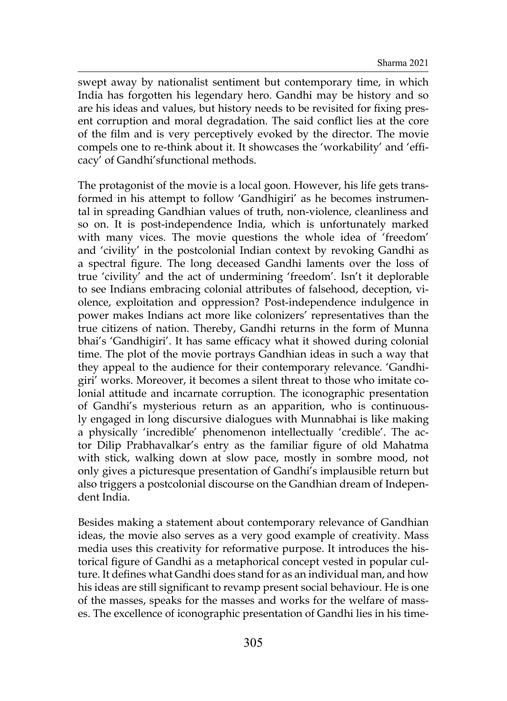swept away by nationalist sentiment but contemporary time, in which India has forgotten his legendary hero. Gandhi may be history and so are his ideas and values, but history needs to be revisited for fixing present corruption and moral degradation. The said conflict lies at the core of the film and is very perceptively evoked by the director. The movie compels one to re-think about it. It showcases the 'workability' and 'efficacy' of Gandhi'sfunctional methods.

The protagonist of the movie is a local goon. However, his life gets transformed in his attempt to follow 'Gandhigiri' as he becomes instrumental in spreading Gandhian values of truth, non-violence, cleanliness and so on. It is post-independence India, which is unfortunately marked with many vices. The movie questions the whole idea of 'freedom' and 'civility' in the postcolonial Indian context by revoking Gandhi as a spectral figure. The long deceased Gandhi laments over the loss of true 'civility' and the act of undermining 'freedom'. Isn't it deplorable to see Indians embracing colonial attributes of falsehood, deception, violence, exploitation and oppression? Post-independence indulgence in power makes Indians act more like colonizers' representatives than the true citizens of nation. Thereby, Gandhi returns in the form of Munna bhai's 'Gandhigiri'. It has same efficacy what it showed during colonial time. The plot of the movie portrays Gandhian ideas in such a way that they appeal to the audience for their contemporary relevance. 'Gandhigiri' works. Moreover, it becomes a silent threat to those who imitate colonial attitude and incarnate corruption. The iconographic presentation of Gandhi's mysterious return as an apparition, who is continuously engaged in long discursive dialogues with Munnabhai is like making a physically 'incredible' phenomenon intellectually 'credible'. The actor Dilip Prabhavalkar's entry as the familiar figure of old Mahatma with stick, walking down at slow pace, mostly in sombre mood, not only gives a picturesque presentation of Gandhi's implausible return but also triggers a postcolonial discourse on the Gandhian dream of Independent India.

Besides making a statement about contemporary relevance of Gandhian ideas, the movie also serves as a very good example of creativity. Mass media uses this creativity for reformative purpose. It introduces the historical figure of Gandhi as a metaphorical concept vested in popular culture. It defines what Gandhi does stand for as an individual man, and how his ideas are still significant to revamp present social behaviour. He is one of the masses, speaks for the masses and works for the welfare of masses. The excellence of iconographic presentation of Gandhi lies in his time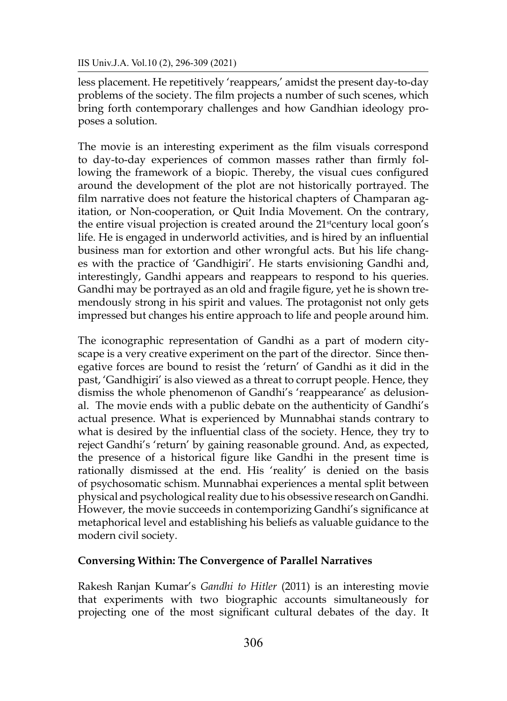less placement. He repetitively 'reappears,' amidst the present day-to-day problems of the society. The film projects a number of such scenes, which bring forth contemporary challenges and how Gandhian ideology proposes a solution.

The movie is an interesting experiment as the film visuals correspond to day-to-day experiences of common masses rather than firmly following the framework of a biopic. Thereby, the visual cues configured around the development of the plot are not historically portrayed. The film narrative does not feature the historical chapters of Champaran agitation, or Non-cooperation, or Quit India Movement. On the contrary, the entire visual projection is created around the 21<sup>st</sup>century local goon's life. He is engaged in underworld activities, and is hired by an influential business man for extortion and other wrongful acts. But his life changes with the practice of 'Gandhigiri'. He starts envisioning Gandhi and, interestingly, Gandhi appears and reappears to respond to his queries. Gandhi may be portrayed as an old and fragile figure, yet he is shown tremendously strong in his spirit and values. The protagonist not only gets impressed but changes his entire approach to life and people around him.

The iconographic representation of Gandhi as a part of modern cityscape is a very creative experiment on the part of the director. Since thenegative forces are bound to resist the 'return' of Gandhi as it did in the past, 'Gandhigiri' is also viewed as a threat to corrupt people. Hence, they dismiss the whole phenomenon of Gandhi's 'reappearance' as delusional. The movie ends with a public debate on the authenticity of Gandhi's actual presence. What is experienced by Munnabhai stands contrary to what is desired by the influential class of the society. Hence, they try to reject Gandhi's 'return' by gaining reasonable ground. And, as expected, the presence of a historical figure like Gandhi in the present time is rationally dismissed at the end. His 'reality' is denied on the basis of psychosomatic schism. Munnabhai experiences a mental split between physical and psychological reality due to his obsessive research on Gandhi. However, the movie succeeds in contemporizing Gandhi's significance at metaphorical level and establishing his beliefs as valuable guidance to the modern civil society.

### **Conversing Within: The Convergence of Parallel Narratives**

Rakesh Ranjan Kumar's *Gandhi to Hitler* (2011) is an interesting movie that experiments with two biographic accounts simultaneously for projecting one of the most significant cultural debates of the day. It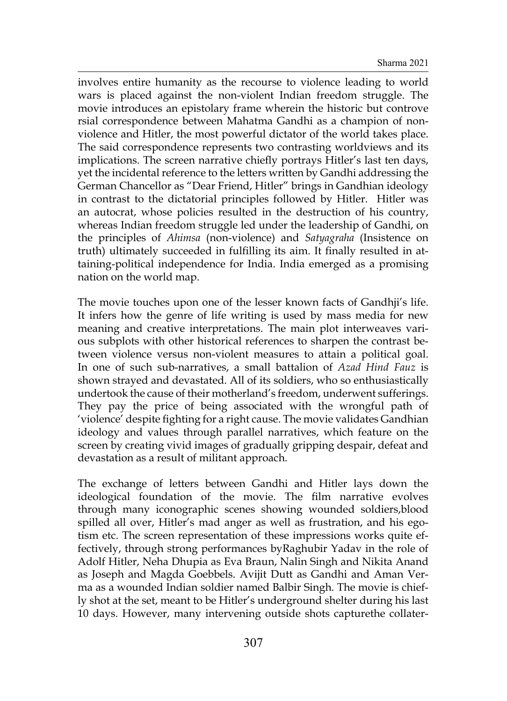involves entire humanity as the recourse to violence leading to world wars is placed against the non-violent Indian freedom struggle. The movie introduces an epistolary frame wherein the historic but controve rsial correspondence between Mahatma Gandhi as a champion of nonviolence and Hitler, the most powerful dictator of the world takes place. The said correspondence represents two contrasting worldviews and its implications. The screen narrative chiefly portrays Hitler's last ten days, yet the incidental reference to the letters written by Gandhi addressing the German Chancellor as "Dear Friend, Hitler" brings in Gandhian ideology in contrast to the dictatorial principles followed by Hitler. Hitler was an autocrat, whose policies resulted in the destruction of his country, whereas Indian freedom struggle led under the leadership of Gandhi, on the principles of *Ahimsa* (non-violence) and *Satyagraha* (Insistence on truth) ultimately succeeded in fulfilling its aim. It finally resulted in attaining-political independence for India. India emerged as a promising nation on the world map.

The movie touches upon one of the lesser known facts of Gandhji's life. It infers how the genre of life writing is used by mass media for new meaning and creative interpretations. The main plot interweaves various subplots with other historical references to sharpen the contrast between violence versus non-violent measures to attain a political goal. In one of such sub-narratives, a small battalion of *Azad Hind Fauz* is shown strayed and devastated. All of its soldiers, who so enthusiastically undertook the cause of their motherland's freedom, underwent sufferings. They pay the price of being associated with the wrongful path of 'violence' despite fighting for a right cause. The movie validates Gandhian ideology and values through parallel narratives, which feature on the screen by creating vivid images of gradually gripping despair, defeat and devastation as a result of militant approach.

The exchange of letters between Gandhi and Hitler lays down the ideological foundation of the movie. The film narrative evolves through many iconographic scenes showing wounded soldiers,blood spilled all over, Hitler's mad anger as well as frustration, and his egotism etc. The screen representation of these impressions works quite effectively, through strong performances byRaghubir Yadav in the role of Adolf Hitler, Neha Dhupia as Eva Braun, Nalin Singh and Nikita Anand as Joseph and Magda Goebbels. Avijit Dutt as Gandhi and Aman Verma as a wounded Indian soldier named Balbir Singh. The movie is chiefly shot at the set, meant to be Hitler's underground shelter during his last 10 days. However, many intervening outside shots capturethe collater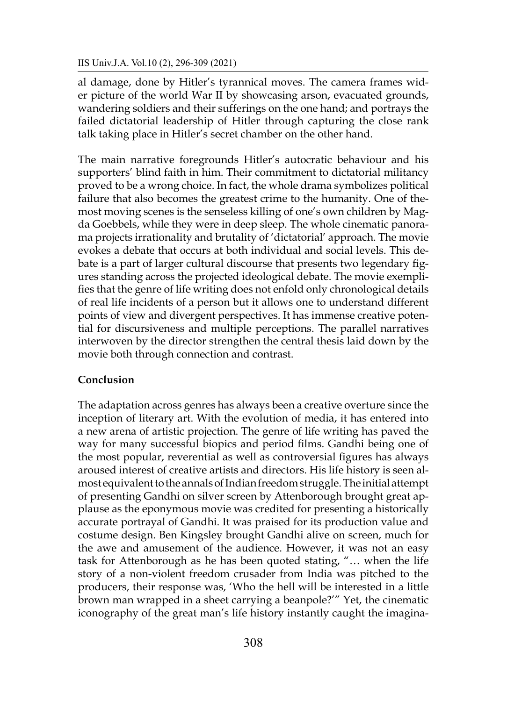al damage, done by Hitler's tyrannical moves. The camera frames wider picture of the world War II by showcasing arson, evacuated grounds, wandering soldiers and their sufferings on the one hand; and portrays the failed dictatorial leadership of Hitler through capturing the close rank talk taking place in Hitler's secret chamber on the other hand.

The main narrative foregrounds Hitler's autocratic behaviour and his supporters' blind faith in him. Their commitment to dictatorial militancy proved to be a wrong choice. In fact, the whole drama symbolizes political failure that also becomes the greatest crime to the humanity. One of themost moving scenes is the senseless killing of one's own children by Magda Goebbels, while they were in deep sleep. The whole cinematic panorama projects irrationality and brutality of 'dictatorial' approach. The movie evokes a debate that occurs at both individual and social levels. This debate is a part of larger cultural discourse that presents two legendary figures standing across the projected ideological debate. The movie exemplifies that the genre of life writing does not enfold only chronological details of real life incidents of a person but it allows one to understand different points of view and divergent perspectives. It has immense creative potential for discursiveness and multiple perceptions. The parallel narratives interwoven by the director strengthen the central thesis laid down by the movie both through connection and contrast.

### **Conclusion**

The adaptation across genres has always been a creative overture since the inception of literary art. With the evolution of media, it has entered into a new arena of artistic projection. The genre of life writing has paved the way for many successful biopics and period films. Gandhi being one of the most popular, reverential as well as controversial figures has always aroused interest of creative artists and directors. His life history is seen almost equivalent tothe annals of Indian freedom struggle. The initial attempt of presenting Gandhi on silver screen by Attenborough brought great applause as the eponymous movie was credited for presenting a historically accurate portrayal of Gandhi. It was praised for its production value and costume design. Ben Kingsley brought Gandhi alive on screen, much for the awe and amusement of the audience. However, it was not an easy task for Attenborough as he has been quoted stating, "… when the life story of a non-violent freedom crusader from India was pitched to the producers, their response was, 'Who the hell will be interested in a little brown man wrapped in a sheet carrying a beanpole?'" Yet, the cinematic iconography of the great man's life history instantly caught the imagina